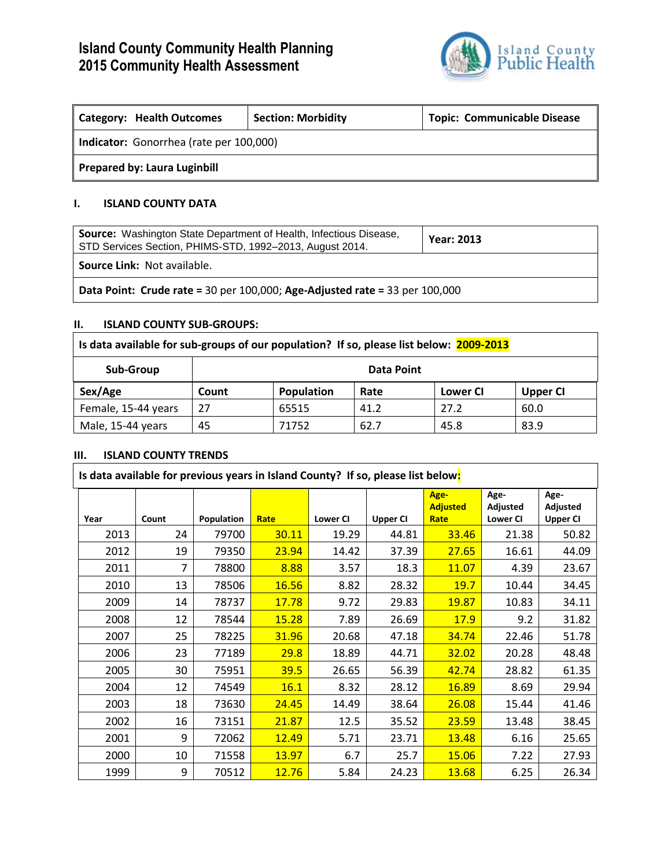# **Island County Community Health Planning 2015 Community Health Assessment**



٦

| <b>Category: Health Outcomes</b>        | <b>Topic: Communicable Disease</b><br><b>Section: Morbidity</b> |  |  |  |  |  |
|-----------------------------------------|-----------------------------------------------------------------|--|--|--|--|--|
| Indicator: Gonorrhea (rate per 100,000) |                                                                 |  |  |  |  |  |
| <b>Prepared by: Laura Luginbill</b>     |                                                                 |  |  |  |  |  |

### **I. ISLAND COUNTY DATA**

| <b>Source:</b> Washington State Department of Health, Infectious Disease,<br>STD Services Section, PHIMS-STD, 1992-2013, August 2014. | <b>Year: 2013</b> |  |  |  |
|---------------------------------------------------------------------------------------------------------------------------------------|-------------------|--|--|--|
| <b>Source Link: Not available.</b>                                                                                                    |                   |  |  |  |
| Data Point: Crude rate = 30 per 100,000; Age-Adjusted rate = 33 per 100,000                                                           |                   |  |  |  |

#### **II. ISLAND COUNTY SUB-GROUPS:**

| Is data available for sub-groups of our population? If so, please list below: 2009-2013 |            |                                                          |      |      |      |  |  |
|-----------------------------------------------------------------------------------------|------------|----------------------------------------------------------|------|------|------|--|--|
| Sub-Group                                                                               | Data Point |                                                          |      |      |      |  |  |
| Sex/Age                                                                                 | Count      | Population<br>Rate<br><b>Lower CI</b><br><b>Upper CI</b> |      |      |      |  |  |
| Female, 15-44 years                                                                     | 27         | 65515                                                    | 41.2 | 27.2 | 60.0 |  |  |
| Male, 15-44 years                                                                       | 45         | 71752                                                    | 62.7 | 45.8 | 83.9 |  |  |

#### **III. ISLAND COUNTY TRENDS**

| Is data available for previous years in Island County? If so, please list below: |       |            |              |                 |                 |                                 |                                     |                                     |
|----------------------------------------------------------------------------------|-------|------------|--------------|-----------------|-----------------|---------------------------------|-------------------------------------|-------------------------------------|
| Year                                                                             | Count | Population | Rate         | <b>Lower CI</b> | <b>Upper CI</b> | Age-<br><b>Adjusted</b><br>Rate | Age-<br>Adjusted<br><b>Lower CI</b> | Age-<br>Adjusted<br><b>Upper CI</b> |
| 2013                                                                             | 24    | 79700      | 30.11        | 19.29           | 44.81           | 33.46                           | 21.38                               | 50.82                               |
| 2012                                                                             | 19    | 79350      | 23.94        | 14.42           | 37.39           | 27.65                           | 16.61                               | 44.09                               |
| 2011                                                                             | 7     | 78800      | 8.88         | 3.57            | 18.3            | 11.07                           | 4.39                                | 23.67                               |
| 2010                                                                             | 13    | 78506      | 16.56        | 8.82            | 28.32           | 19.7                            | 10.44                               | 34.45                               |
| 2009                                                                             | 14    | 78737      | 17.78        | 9.72            | 29.83           | 19.87                           | 10.83                               | 34.11                               |
| 2008                                                                             | 12    | 78544      | <b>15.28</b> | 7.89            | 26.69           | <b>17.9</b>                     | 9.2                                 | 31.82                               |
| 2007                                                                             | 25    | 78225      | 31.96        | 20.68           | 47.18           | 34.74                           | 22.46                               | 51.78                               |
| 2006                                                                             | 23    | 77189      | 29.8         | 18.89           | 44.71           | 32.02                           | 20.28                               | 48.48                               |
| 2005                                                                             | 30    | 75951      | 39.5         | 26.65           | 56.39           | 42.74                           | 28.82                               | 61.35                               |
| 2004                                                                             | 12    | 74549      | 16.1         | 8.32            | 28.12           | <b>16.89</b>                    | 8.69                                | 29.94                               |
| 2003                                                                             | 18    | 73630      | 24.45        | 14.49           | 38.64           | 26.08                           | 15.44                               | 41.46                               |
| 2002                                                                             | 16    | 73151      | 21.87        | 12.5            | 35.52           | 23.59                           | 13.48                               | 38.45                               |
| 2001                                                                             | 9     | 72062      | <u>12.49</u> | 5.71            | 23.71           | 13.48                           | 6.16                                | 25.65                               |
| 2000                                                                             | 10    | 71558      | 13.97        | 6.7             | 25.7            | 15.06                           | 7.22                                | 27.93                               |
| 1999                                                                             | 9     | 70512      | 12.76        | 5.84            | 24.23           | 13.68                           | 6.25                                | 26.34                               |